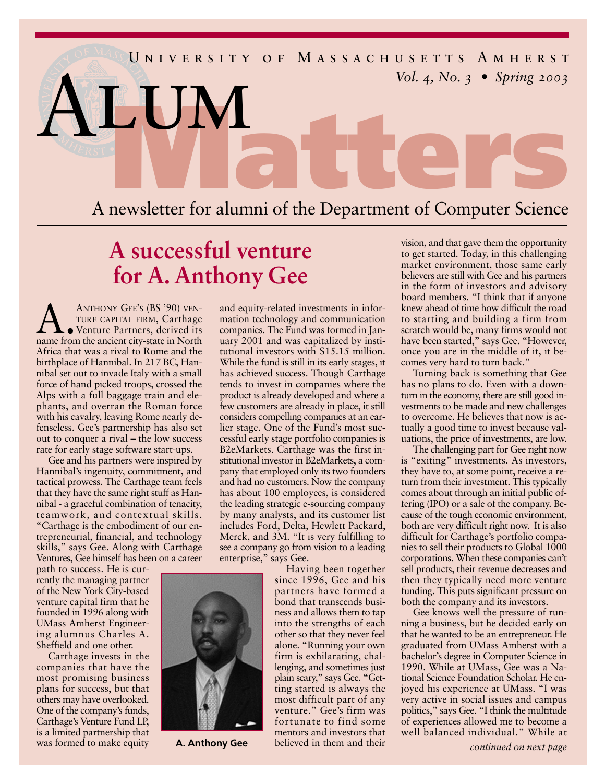

## **A successful venture for A. Anthony Gee**

**ANTHONY GEE'S (BS '90) VEN-**<br>TURE CAPITAL FIRM, Carthage<br>Venture Partners, derived its<br>name from the ancient city-state in North TURE CAPITAL FIRM, Carthage name from the ancient city-state in North Africa that was a rival to Rome and the birthplace of Hannibal. In 217 BC, Hannibal set out to invade Italy with a small force of hand picked troops, crossed the Alps with a full baggage train and elephants, and overran the Roman force with his cavalry, leaving Rome nearly defenseless. Gee's partnership has also set out to conquer a rival – the low success rate for early stage software start-ups.

Gee and his partners were inspired by Hannibal's ingenuity, commitment, and tactical prowess. The Carthage team feels that they have the same right stuff as Hannibal - a graceful combination of tenacity, teamwork, and contextual skills. "Carthage is the embodiment of our entrepreneurial, financial, and technology skills," says Gee. Along with Carthage Ventures, Gee himself has been on a career

path to success. He is currently the managing partner of the New York City-based venture capital firm that he founded in 1996 along with UMass Amherst Engineering alumnus Charles A. Sheffield and one other.

Carthage invests in the companies that have the most promising business plans for success, but that others may have overlooked. One of the company's funds, Carthage's Venture Fund LP, is a limited partnership that was formed to make equity

and equity-related investments in information technology and communication companies. The Fund was formed in January 2001 and was capitalized by institutional investors with \$15.15 million. While the fund is still in its early stages, it has achieved success. Though Carthage tends to invest in companies where the product is already developed and where a few customers are already in place, it still considers compelling companies at an earlier stage. One of the Fund's most successful early stage portfolio companies is B2eMarkets. Carthage was the first institutional investor in B2eMarkets, a company that employed only its two founders and had no customers. Now the company has about 100 employees, is considered the leading strategic e-sourcing company by many analysts, and its customer list includes Ford, Delta, Hewlett Packard, Merck, and 3M. "It is very fulfilling to see a company go from vision to a leading enterprise," says Gee.

Having been together since 1996, Gee and his partners have formed a bond that transcends business and allows them to tap into the strengths of each other so that they never feel alone. "Running your own firm is exhilarating, challenging, and sometimes just plain scary," says Gee. "Getting started is always the most difficult part of any venture." Gee's firm was fortunate to find some mentors and investors that believed in them and their **A. Anthony Gee** believed in them and their *continued on next page* 

vision, and that gave them the opportunity to get started. Today, in this challenging market environment, those same early believers are still with Gee and his partners in the form of investors and advisory board members. "I think that if anyone knew ahead of time how difficult the road to starting and building a firm from scratch would be, many firms would not have been started," says Gee. "However, once you are in the middle of it, it becomes very hard to turn back."

Turning back is something that Gee has no plans to do. Even with a downturn in the economy, there are still good investments to be made and new challenges to overcome. He believes that now is actually a good time to invest because valuations, the price of investments, are low.

The challenging part for Gee right now is "exiting" investments. As investors, they have to, at some point, receive a return from their investment. This typically comes about through an initial public offering (IPO) or a sale of the company. Because of the tough economic environment, both are very difficult right now. It is also difficult for Carthage's portfolio companies to sell their products to Global 1000 corporations. When these companies can't sell products, their revenue decreases and then they typically need more venture funding. This puts significant pressure on both the company and its investors.

Gee knows well the pressure of running a business, but he decided early on that he wanted to be an entrepreneur. He graduated from UMass Amherst with a bachelor's degree in Computer Science in 1990. While at UMass, Gee was a National Science Foundation Scholar. He enjoyed his experience at UMass. "I was very active in social issues and campus politics," says Gee. "I think the multitude of experiences allowed me to become a well balanced individual." While at